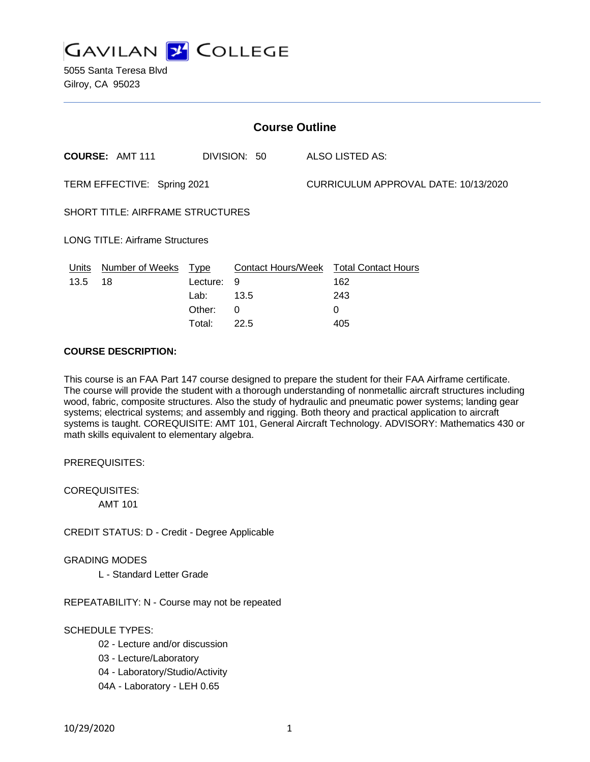

5055 Santa Teresa Blvd Gilroy, CA 95023

| <b>Course Outline</b>                   |                        |             |              |                                      |                                               |
|-----------------------------------------|------------------------|-------------|--------------|--------------------------------------|-----------------------------------------------|
|                                         | <b>COURSE: AMT 111</b> |             | DIVISION: 50 |                                      | ALSO LISTED AS:                               |
| TERM EFFECTIVE: Spring 2021             |                        |             |              | CURRICULUM APPROVAL DATE: 10/13/2020 |                                               |
| <b>SHORT TITLE: AIRFRAME STRUCTURES</b> |                        |             |              |                                      |                                               |
| <b>LONG TITLE: Airframe Structures</b>  |                        |             |              |                                      |                                               |
| Units                                   | <b>Number of Weeks</b> | <b>Type</b> |              |                                      | <b>Contact Hours/Week Total Contact Hours</b> |
| 13.5                                    | 18                     | Lecture:    | 9            |                                      | 162                                           |
|                                         |                        | Lab:        | 13.5         |                                      | 243                                           |
|                                         |                        | Other:      | $\Omega$     |                                      | 0                                             |
|                                         |                        | Total:      | 22.5         |                                      | 405                                           |

#### **COURSE DESCRIPTION:**

This course is an FAA Part 147 course designed to prepare the student for their FAA Airframe certificate. The course will provide the student with a thorough understanding of nonmetallic aircraft structures including wood, fabric, composite structures. Also the study of hydraulic and pneumatic power systems; landing gear systems; electrical systems; and assembly and rigging. Both theory and practical application to aircraft systems is taught. COREQUISITE: AMT 101, General Aircraft Technology. ADVISORY: Mathematics 430 or math skills equivalent to elementary algebra.

PREREQUISITES:

COREQUISITES: AMT 101

CREDIT STATUS: D - Credit - Degree Applicable

GRADING MODES

L - Standard Letter Grade

REPEATABILITY: N - Course may not be repeated

# SCHEDULE TYPES:

- 02 Lecture and/or discussion
- 03 Lecture/Laboratory
- 04 Laboratory/Studio/Activity
- 04A Laboratory LEH 0.65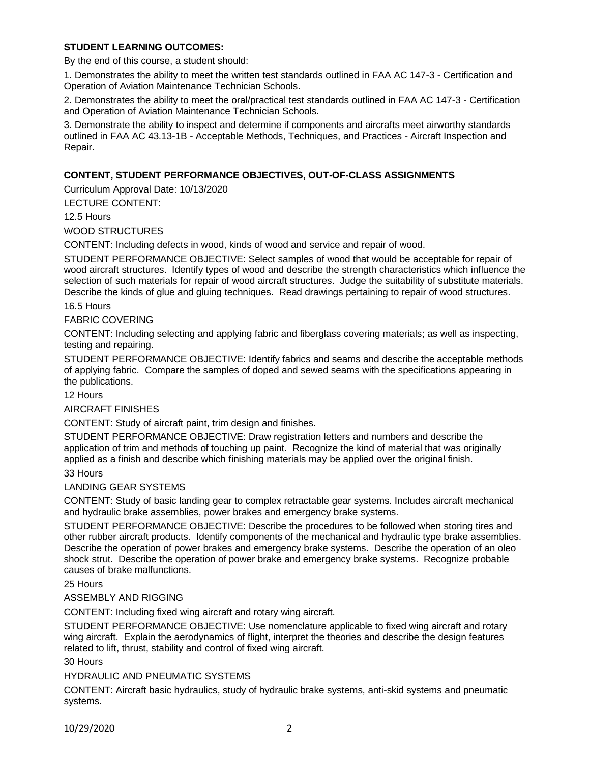# **STUDENT LEARNING OUTCOMES:**

By the end of this course, a student should:

1. Demonstrates the ability to meet the written test standards outlined in FAA AC 147-3 - Certification and Operation of Aviation Maintenance Technician Schools.

2. Demonstrates the ability to meet the oral/practical test standards outlined in FAA AC 147-3 - Certification and Operation of Aviation Maintenance Technician Schools.

3. Demonstrate the ability to inspect and determine if components and aircrafts meet airworthy standards outlined in FAA AC 43.13-1B - Acceptable Methods, Techniques, and Practices - Aircraft Inspection and Repair.

# **CONTENT, STUDENT PERFORMANCE OBJECTIVES, OUT-OF-CLASS ASSIGNMENTS**

Curriculum Approval Date: 10/13/2020

LECTURE CONTENT:

12.5 Hours

WOOD STRUCTURES

CONTENT: Including defects in wood, kinds of wood and service and repair of wood.

STUDENT PERFORMANCE OBJECTIVE: Select samples of wood that would be acceptable for repair of wood aircraft structures. Identify types of wood and describe the strength characteristics which influence the selection of such materials for repair of wood aircraft structures. Judge the suitability of substitute materials. Describe the kinds of glue and gluing techniques. Read drawings pertaining to repair of wood structures.

#### 16.5 Hours

FABRIC COVERING

CONTENT: Including selecting and applying fabric and fiberglass covering materials; as well as inspecting, testing and repairing.

STUDENT PERFORMANCE OBJECTIVE: Identify fabrics and seams and describe the acceptable methods of applying fabric. Compare the samples of doped and sewed seams with the specifications appearing in the publications.

12 Hours

AIRCRAFT FINISHES

CONTENT: Study of aircraft paint, trim design and finishes.

STUDENT PERFORMANCE OBJECTIVE: Draw registration letters and numbers and describe the application of trim and methods of touching up paint. Recognize the kind of material that was originally applied as a finish and describe which finishing materials may be applied over the original finish.

33 Hours

LANDING GEAR SYSTEMS

CONTENT: Study of basic landing gear to complex retractable gear systems. Includes aircraft mechanical and hydraulic brake assemblies, power brakes and emergency brake systems.

STUDENT PERFORMANCE OBJECTIVE: Describe the procedures to be followed when storing tires and other rubber aircraft products. Identify components of the mechanical and hydraulic type brake assemblies. Describe the operation of power brakes and emergency brake systems. Describe the operation of an oleo shock strut. Describe the operation of power brake and emergency brake systems. Recognize probable causes of brake malfunctions.

25 Hours

# ASSEMBLY AND RIGGING

CONTENT: Including fixed wing aircraft and rotary wing aircraft.

STUDENT PERFORMANCE OBJECTIVE: Use nomenclature applicable to fixed wing aircraft and rotary wing aircraft. Explain the aerodynamics of flight, interpret the theories and describe the design features related to lift, thrust, stability and control of fixed wing aircraft.

30 Hours

HYDRAULIC AND PNEUMATIC SYSTEMS

CONTENT: Aircraft basic hydraulics, study of hydraulic brake systems, anti-skid systems and pneumatic systems.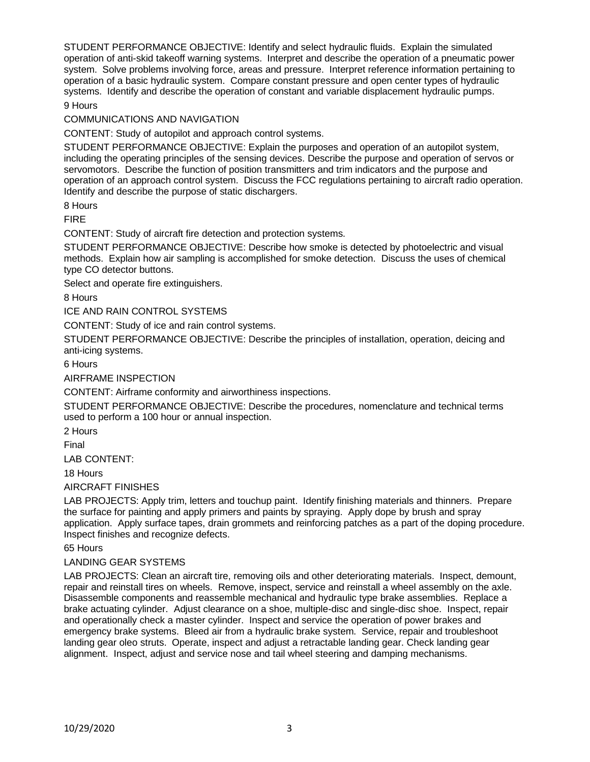STUDENT PERFORMANCE OBJECTIVE: Identify and select hydraulic fluids. Explain the simulated operation of anti-skid takeoff warning systems. Interpret and describe the operation of a pneumatic power system. Solve problems involving force, areas and pressure. Interpret reference information pertaining to operation of a basic hydraulic system. Compare constant pressure and open center types of hydraulic systems. Identify and describe the operation of constant and variable displacement hydraulic pumps.

9 Hours

COMMUNICATIONS AND NAVIGATION

CONTENT: Study of autopilot and approach control systems.

STUDENT PERFORMANCE OBJECTIVE: Explain the purposes and operation of an autopilot system, including the operating principles of the sensing devices. Describe the purpose and operation of servos or servomotors. Describe the function of position transmitters and trim indicators and the purpose and operation of an approach control system. Discuss the FCC regulations pertaining to aircraft radio operation. Identify and describe the purpose of static dischargers.

8 Hours

FIRE

CONTENT: Study of aircraft fire detection and protection systems.

STUDENT PERFORMANCE OBJECTIVE: Describe how smoke is detected by photoelectric and visual methods. Explain how air sampling is accomplished for smoke detection. Discuss the uses of chemical type CO detector buttons.

Select and operate fire extinguishers.

8 Hours

ICE AND RAIN CONTROL SYSTEMS

CONTENT: Study of ice and rain control systems.

STUDENT PERFORMANCE OBJECTIVE: Describe the principles of installation, operation, deicing and anti-icing systems.

6 Hours

AIRFRAME INSPECTION

CONTENT: Airframe conformity and airworthiness inspections.

STUDENT PERFORMANCE OBJECTIVE: Describe the procedures, nomenclature and technical terms used to perform a 100 hour or annual inspection.

2 Hours

Final

LAB CONTENT:

18 Hours

#### AIRCRAFT FINISHES

LAB PROJECTS: Apply trim, letters and touchup paint. Identify finishing materials and thinners. Prepare the surface for painting and apply primers and paints by spraying. Apply dope by brush and spray application. Apply surface tapes, drain grommets and reinforcing patches as a part of the doping procedure. Inspect finishes and recognize defects.

65 Hours

# LANDING GEAR SYSTEMS

LAB PROJECTS: Clean an aircraft tire, removing oils and other deteriorating materials. Inspect, demount, repair and reinstall tires on wheels. Remove, inspect, service and reinstall a wheel assembly on the axle. Disassemble components and reassemble mechanical and hydraulic type brake assemblies. Replace a brake actuating cylinder. Adjust clearance on a shoe, multiple-disc and single-disc shoe. Inspect, repair and operationally check a master cylinder. Inspect and service the operation of power brakes and emergency brake systems. Bleed air from a hydraulic brake system. Service, repair and troubleshoot landing gear oleo struts. Operate, inspect and adjust a retractable landing gear. Check landing gear alignment. Inspect, adjust and service nose and tail wheel steering and damping mechanisms.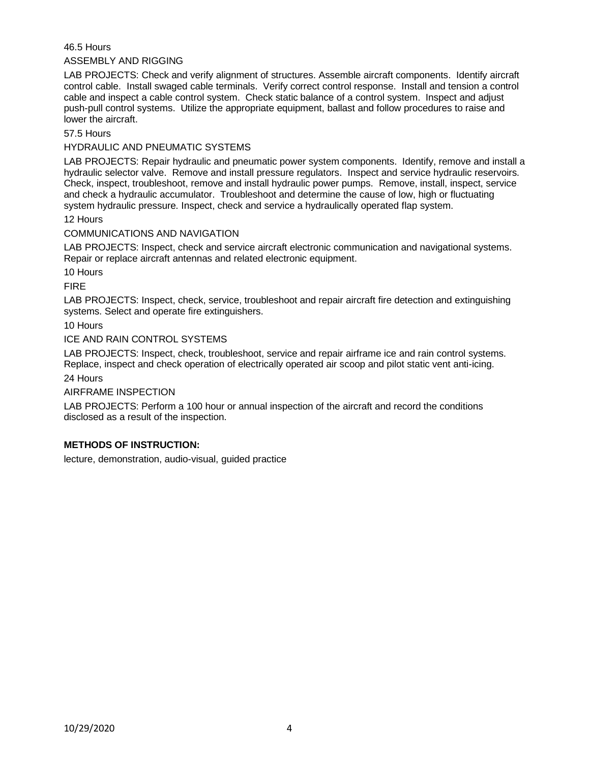# 46.5 Hours

#### ASSEMBLY AND RIGGING

LAB PROJECTS: Check and verify alignment of structures. Assemble aircraft components. Identify aircraft control cable. Install swaged cable terminals. Verify correct control response. Install and tension a control cable and inspect a cable control system. Check static balance of a control system. Inspect and adjust push-pull control systems. Utilize the appropriate equipment, ballast and follow procedures to raise and lower the aircraft.

57.5 Hours

#### HYDRAULIC AND PNEUMATIC SYSTEMS

LAB PROJECTS: Repair hydraulic and pneumatic power system components. Identify, remove and install a hydraulic selector valve. Remove and install pressure regulators. Inspect and service hydraulic reservoirs. Check, inspect, troubleshoot, remove and install hydraulic power pumps. Remove, install, inspect, service and check a hydraulic accumulator. Troubleshoot and determine the cause of low, high or fluctuating system hydraulic pressure. Inspect, check and service a hydraulically operated flap system.

12 Hours

#### COMMUNICATIONS AND NAVIGATION

LAB PROJECTS: Inspect, check and service aircraft electronic communication and navigational systems. Repair or replace aircraft antennas and related electronic equipment.

10 Hours

FIRE

LAB PROJECTS: Inspect, check, service, troubleshoot and repair aircraft fire detection and extinguishing systems. Select and operate fire extinguishers.

10 Hours

### ICE AND RAIN CONTROL SYSTEMS

LAB PROJECTS: Inspect, check, troubleshoot, service and repair airframe ice and rain control systems. Replace, inspect and check operation of electrically operated air scoop and pilot static vent anti-icing. 24 Hours

AIRFRAME INSPECTION

LAB PROJECTS: Perform a 100 hour or annual inspection of the aircraft and record the conditions disclosed as a result of the inspection.

# **METHODS OF INSTRUCTION:**

lecture, demonstration, audio-visual, guided practice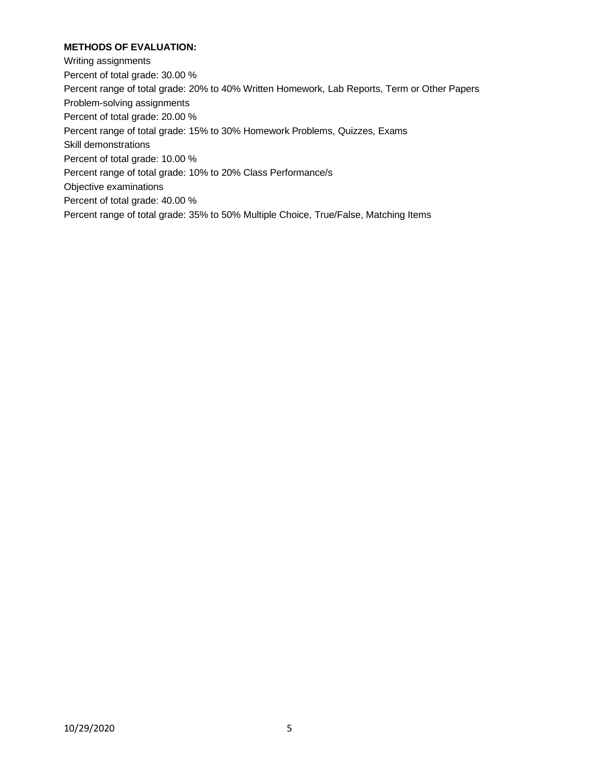# **METHODS OF EVALUATION:**

Writing assignments

Percent of total grade: 30.00 %

Percent range of total grade: 20% to 40% Written Homework, Lab Reports, Term or Other Papers

Problem-solving assignments

Percent of total grade: 20.00 %

Percent range of total grade: 15% to 30% Homework Problems, Quizzes, Exams

Skill demonstrations

Percent of total grade: 10.00 %

Percent range of total grade: 10% to 20% Class Performance/s

Objective examinations

Percent of total grade: 40.00 %

Percent range of total grade: 35% to 50% Multiple Choice, True/False, Matching Items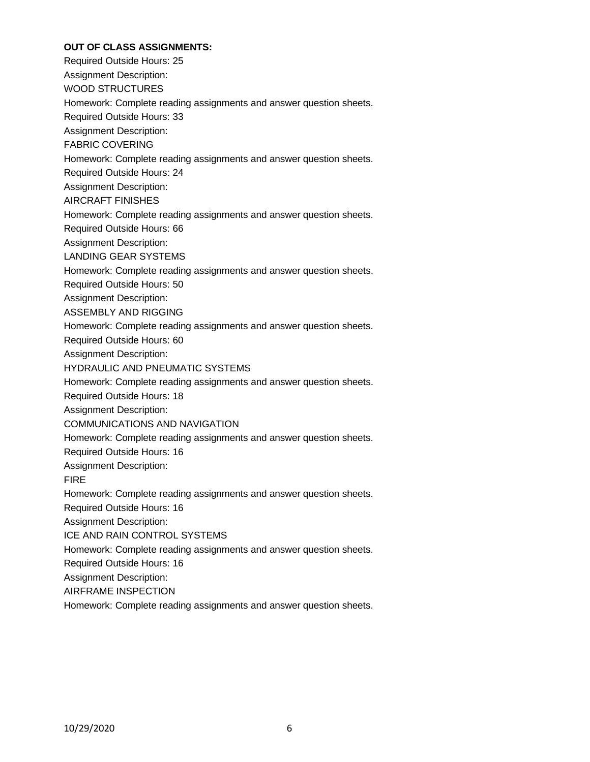# **OUT OF CLASS ASSIGNMENTS:**

Required Outside Hours: 25

Assignment Description:

WOOD STRUCTURES

Homework: Complete reading assignments and answer question sheets.

Required Outside Hours: 33

Assignment Description:

FABRIC COVERING

Homework: Complete reading assignments and answer question sheets.

Required Outside Hours: 24

Assignment Description:

AIRCRAFT FINISHES

Homework: Complete reading assignments and answer question sheets.

Required Outside Hours: 66

Assignment Description:

LANDING GEAR SYSTEMS

Homework: Complete reading assignments and answer question sheets.

Required Outside Hours: 50

Assignment Description:

ASSEMBLY AND RIGGING

Homework: Complete reading assignments and answer question sheets.

Required Outside Hours: 60

Assignment Description:

HYDRAULIC AND PNEUMATIC SYSTEMS

Homework: Complete reading assignments and answer question sheets.

Required Outside Hours: 18

Assignment Description:

COMMUNICATIONS AND NAVIGATION

Homework: Complete reading assignments and answer question sheets.

Required Outside Hours: 16

Assignment Description:

FIRE

Homework: Complete reading assignments and answer question sheets.

Required Outside Hours: 16

Assignment Description:

ICE AND RAIN CONTROL SYSTEMS

Homework: Complete reading assignments and answer question sheets.

Required Outside Hours: 16

Assignment Description:

AIRFRAME INSPECTION

Homework: Complete reading assignments and answer question sheets.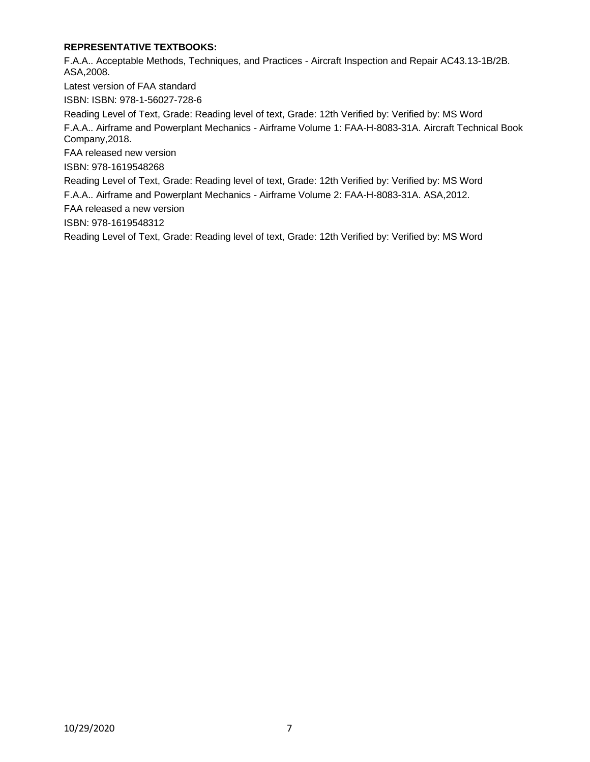# **REPRESENTATIVE TEXTBOOKS:**

F.A.A.. Acceptable Methods, Techniques, and Practices - Aircraft Inspection and Repair AC43.13-1B/2B. ASA,2008.

Latest version of FAA standard

ISBN: ISBN: 978-1-56027-728-6

Reading Level of Text, Grade: Reading level of text, Grade: 12th Verified by: Verified by: MS Word F.A.A.. Airframe and Powerplant Mechanics - Airframe Volume 1: FAA-H-8083-31A. Aircraft Technical Book Company,2018.

FAA released new version

ISBN: 978-1619548268

Reading Level of Text, Grade: Reading level of text, Grade: 12th Verified by: Verified by: MS Word

F.A.A.. Airframe and Powerplant Mechanics - Airframe Volume 2: FAA-H-8083-31A. ASA,2012.

FAA released a new version

ISBN: 978-1619548312

Reading Level of Text, Grade: Reading level of text, Grade: 12th Verified by: Verified by: MS Word